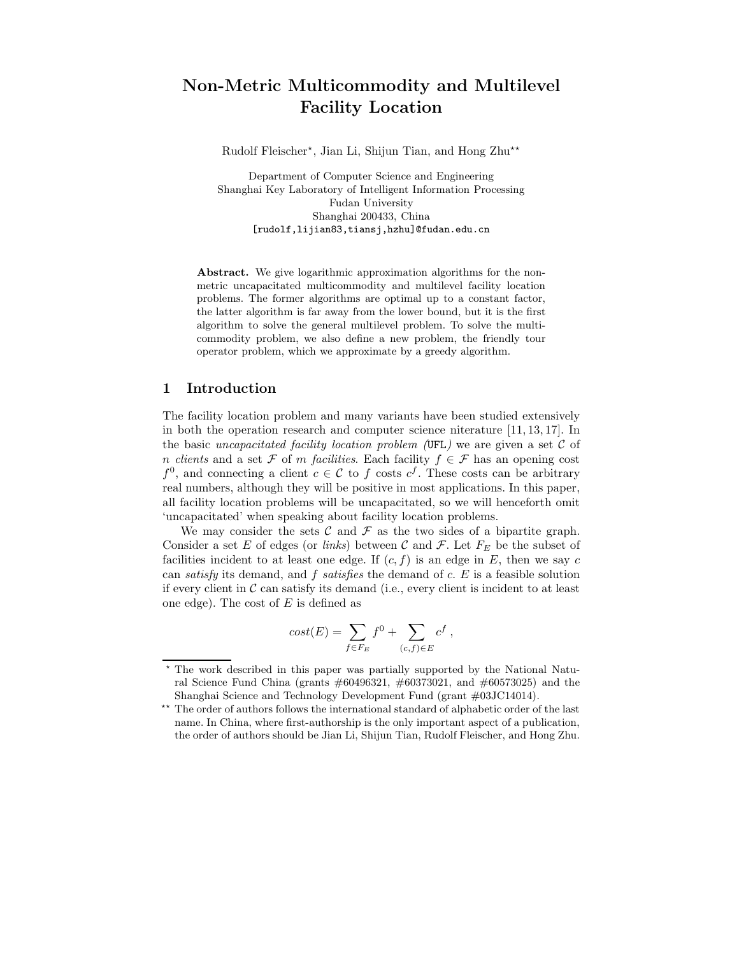# Non-Metric Multicommodity and Multilevel Facility Location

Rudolf Fleischer\*, Jian Li, Shijun Tian, and Hong Zhu\*\*

Department of Computer Science and Engineering Shanghai Key Laboratory of Intelligent Information Processing Fudan University Shanghai 200433, China [rudolf,lijian83,tiansj,hzhu]@fudan.edu.cn

Abstract. We give logarithmic approximation algorithms for the nonmetric uncapacitated multicommodity and multilevel facility location problems. The former algorithms are optimal up to a constant factor, the latter algorithm is far away from the lower bound, but it is the first algorithm to solve the general multilevel problem. To solve the multicommodity problem, we also define a new problem, the friendly tour operator problem, which we approximate by a greedy algorithm.

# 1 Introduction

The facility location problem and many variants have been studied extensively in both the operation research and computer science niterature [11, 13, 17]. In the basic uncapacitated facility location problem (UFL) we are given a set  $\mathcal C$  of n clients and a set  $\mathcal F$  of m facilities. Each facility  $f \in \mathcal F$  has an opening cost  $f^0$ , and connecting a client  $c \in \mathcal{C}$  to f costs  $c^f$ . These costs can be arbitrary real numbers, although they will be positive in most applications. In this paper, all facility location problems will be uncapacitated, so we will henceforth omit 'uncapacitated' when speaking about facility location problems.

We may consider the sets C and F as the two sides of a bipartite graph. Consider a set E of edges (or *links*) between C and F. Let  $F_E$  be the subset of facilities incident to at least one edge. If  $(c, f)$  is an edge in E, then we say c can *satisfy* its demand, and f *satisfies* the demand of  $c$ . E is a feasible solution if every client in  $\mathcal C$  can satisfy its demand (i.e., every client is incident to at least one edge). The cost of  $E$  is defined as

$$
cost(E) = \sum_{f \in F_E} f^0 + \sum_{(c,f) \in E} c^f,
$$

<sup>⋆</sup> The work described in this paper was partially supported by the National Natural Science Fund China (grants #60496321, #60373021, and #60573025) and the Shanghai Science and Technology Development Fund (grant #03JC14014).

<sup>&</sup>lt;sup>\*\*</sup> The order of authors follows the international standard of alphabetic order of the last name. In China, where first-authorship is the only important aspect of a publication, the order of authors should be Jian Li, Shijun Tian, Rudolf Fleischer, and Hong Zhu.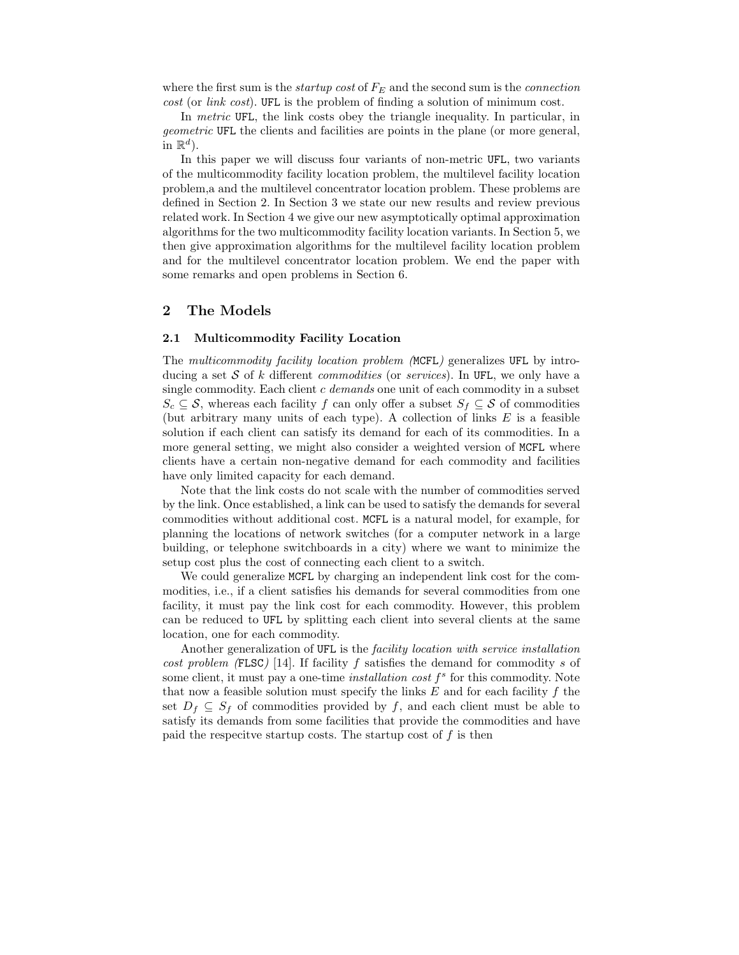where the first sum is the *startup cost* of  $F_E$  and the second sum is the *connection* cost (or link cost). UFL is the problem of finding a solution of minimum cost.

In metric UFL, the link costs obey the triangle inequality. In particular, in geometric UFL the clients and facilities are points in the plane (or more general, in  $\mathbb{R}^d$ ).

In this paper we will discuss four variants of non-metric UFL, two variants of the multicommodity facility location problem, the multilevel facility location problem,a and the multilevel concentrator location problem. These problems are defined in Section 2. In Section 3 we state our new results and review previous related work. In Section 4 we give our new asymptotically optimal approximation algorithms for the two multicommodity facility location variants. In Section 5, we then give approximation algorithms for the multilevel facility location problem and for the multilevel concentrator location problem. We end the paper with some remarks and open problems in Section 6.

# 2 The Models

# 2.1 Multicommodity Facility Location

The multicommodity facility location problem (MCFL) generalizes UFL by introducing a set S of k different *commodities* (or *services*). In UFL, we only have a single commodity. Each client  $c$  demands one unit of each commodity in a subset  $S_c \subseteq \mathcal{S}$ , whereas each facility f can only offer a subset  $S_f \subseteq \mathcal{S}$  of commodities (but arbitrary many units of each type). A collection of links  $E$  is a feasible solution if each client can satisfy its demand for each of its commodities. In a more general setting, we might also consider a weighted version of MCFL where clients have a certain non-negative demand for each commodity and facilities have only limited capacity for each demand.

Note that the link costs do not scale with the number of commodities served by the link. Once established, a link can be used to satisfy the demands for several commodities without additional cost. MCFL is a natural model, for example, for planning the locations of network switches (for a computer network in a large building, or telephone switchboards in a city) where we want to minimize the setup cost plus the cost of connecting each client to a switch.

We could generalize MCFL by charging an independent link cost for the commodities, i.e., if a client satisfies his demands for several commodities from one facility, it must pay the link cost for each commodity. However, this problem can be reduced to UFL by splitting each client into several clients at the same location, one for each commodity.

Another generalization of UFL is the *facility location with service installation* cost problem (FLSC) [14]. If facility  $f$  satisfies the demand for commodity  $s$  of some client, it must pay a one-time *installation cost*  $f^s$  for this commodity. Note that now a feasible solution must specify the links  $E$  and for each facility  $f$  the set  $D_f \subseteq S_f$  of commodities provided by f, and each client must be able to satisfy its demands from some facilities that provide the commodities and have paid the respecitve startup costs. The startup cost of  $f$  is then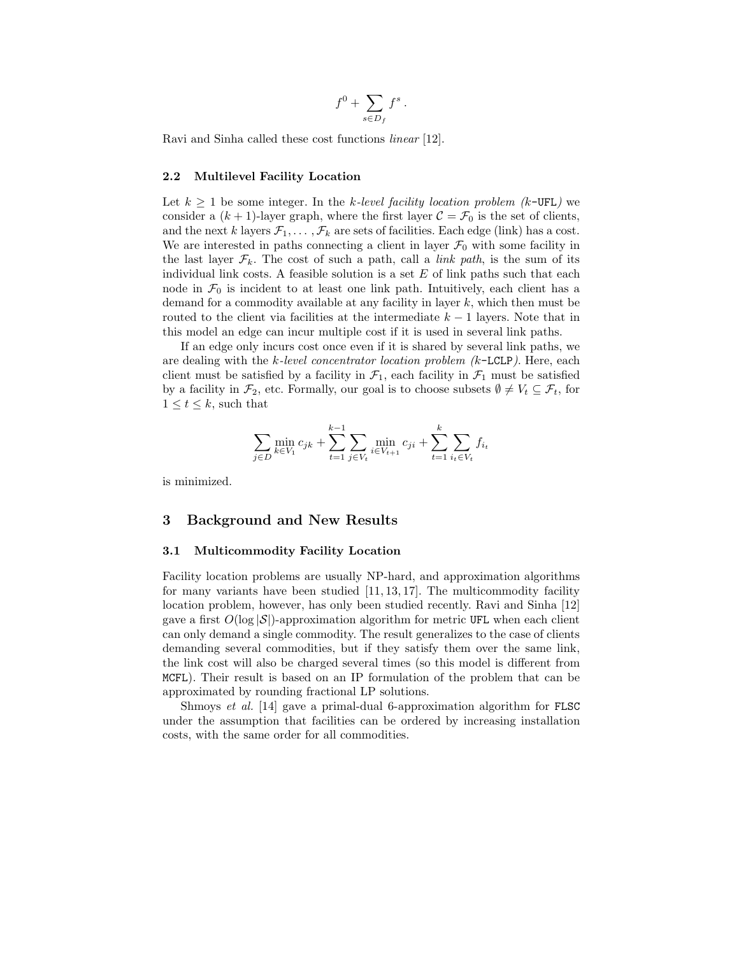$$
f^0 + \sum_{s \in D_f} f^s.
$$

Ravi and Sinha called these cost functions linear [12].

### 2.2 Multilevel Facility Location

Let  $k \geq 1$  be some integer. In the k-level facility location problem (k-UFL) we consider a  $(k + 1)$ -layer graph, where the first layer  $C = \mathcal{F}_0$  is the set of clients, and the next k layers  $\mathcal{F}_1, \ldots, \mathcal{F}_k$  are sets of facilities. Each edge (link) has a cost. We are interested in paths connecting a client in layer  $\mathcal{F}_0$  with some facility in the last layer  $\mathcal{F}_k$ . The cost of such a path, call a *link path*, is the sum of its individual link costs. A feasible solution is a set  $E$  of link paths such that each node in  $\mathcal{F}_0$  is incident to at least one link path. Intuitively, each client has a demand for a commodity available at any facility in layer k, which then must be routed to the client via facilities at the intermediate  $k - 1$  layers. Note that in this model an edge can incur multiple cost if it is used in several link paths.

If an edge only incurs cost once even if it is shared by several link paths, we are dealing with the  $k$ -level concentrator location problem  $(k$ -LCLP). Here, each client must be satisfied by a facility in  $\mathcal{F}_1$ , each facility in  $\mathcal{F}_1$  must be satisfied by a facility in  $\mathcal{F}_2$ , etc. Formally, our goal is to choose subsets  $\emptyset \neq V_t \subseteq \mathcal{F}_t$ , for  $1 \leq t \leq k$ , such that

$$
\sum_{j \in D} \min_{k \in V_1} c_{jk} + \sum_{t=1}^{k-1} \sum_{j \in V_t} \min_{i \in V_{t+1}} c_{ji} + \sum_{t=1}^k \sum_{i_t \in V_t} f_{i_t}
$$

is minimized.

# 3 Background and New Results

### 3.1 Multicommodity Facility Location

Facility location problems are usually NP-hard, and approximation algorithms for many variants have been studied  $[11, 13, 17]$ . The multicommodity facility location problem, however, has only been studied recently. Ravi and Sinha [12] gave a first  $O(\log |\mathcal{S}|)$ -approximation algorithm for metric UFL when each client can only demand a single commodity. The result generalizes to the case of clients demanding several commodities, but if they satisfy them over the same link, the link cost will also be charged several times (so this model is different from MCFL). Their result is based on an IP formulation of the problem that can be approximated by rounding fractional LP solutions.

Shmoys et al. [14] gave a primal-dual 6-approximation algorithm for FLSC under the assumption that facilities can be ordered by increasing installation costs, with the same order for all commodities.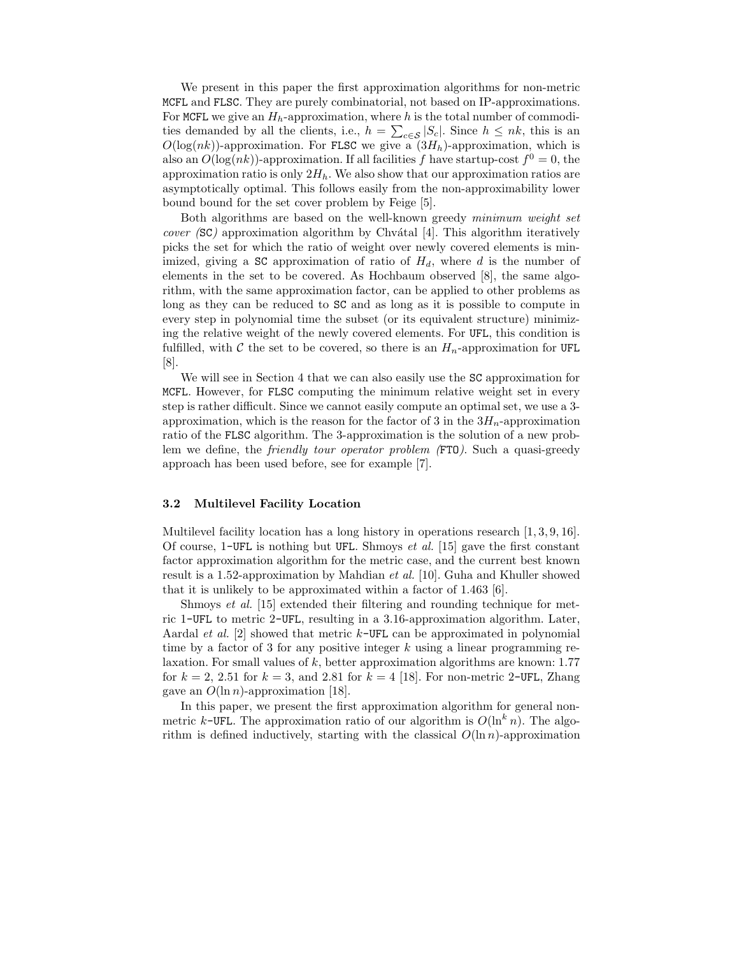We present in this paper the first approximation algorithms for non-metric MCFL and FLSC. They are purely combinatorial, not based on IP-approximations. For MCFL we give an  $H_h$ -approximation, where h is the total number of commodities demanded by all the clients, i.e.,  $h = \sum_{c \in \mathcal{S}} |S_c|$ . Since  $h \leq nk$ , this is an  $O(\log(nk))$ -approximation. For FLSC we give a  $(3H_h)$ -approximation, which is also an  $O(\log(nk))$ -approximation. If all facilities f have startup-cost  $f^0 = 0$ , the approximation ratio is only  $2H_h$ . We also show that our approximation ratios are asymptotically optimal. This follows easily from the non-approximability lower bound bound for the set cover problem by Feige [5].

Both algorithms are based on the well-known greedy minimum weight set *cover* (SC) approximation algorithm by Chvátal [4]. This algorithm iteratively picks the set for which the ratio of weight over newly covered elements is minimized, giving a SC approximation of ratio of  $H_d$ , where d is the number of elements in the set to be covered. As Hochbaum observed [8], the same algorithm, with the same approximation factor, can be applied to other problems as long as they can be reduced to SC and as long as it is possible to compute in every step in polynomial time the subset (or its equivalent structure) minimizing the relative weight of the newly covered elements. For UFL, this condition is fulfilled, with C the set to be covered, so there is an  $H_n$ -approximation for UFL [8].

We will see in Section 4 that we can also easily use the SC approximation for MCFL. However, for FLSC computing the minimum relative weight set in every step is rather difficult. Since we cannot easily compute an optimal set, we use a 3 approximation, which is the reason for the factor of 3 in the  $3H_n$ -approximation ratio of the FLSC algorithm. The 3-approximation is the solution of a new problem we define, the *friendly tour operator problem* (FTO). Such a quasi-greedy approach has been used before, see for example [7].

### 3.2 Multilevel Facility Location

Multilevel facility location has a long history in operations research [1, 3, 9, 16]. Of course,  $1$ -UFL is nothing but UFL. Shmoys *et al.* [15] gave the first constant factor approximation algorithm for the metric case, and the current best known result is a 1.52-approximation by Mahdian et al. [10]. Guha and Khuller showed that it is unlikely to be approximated within a factor of 1.463 [6].

Shmoys et al. [15] extended their filtering and rounding technique for metric 1-UFL to metric 2-UFL, resulting in a 3.16-approximation algorithm. Later, Aardal *et al.* [2] showed that metric  $k$ -UFL can be approximated in polynomial time by a factor of 3 for any positive integer  $k$  using a linear programming relaxation. For small values of  $k$ , better approximation algorithms are known: 1.77 for  $k = 2, 2.51$  for  $k = 3$ , and 2.81 for  $k = 4$  [18]. For non-metric 2-UFL, Zhang gave an  $O(\ln n)$ -approximation [18].

In this paper, we present the first approximation algorithm for general nonmetric k-UFL. The approximation ratio of our algorithm is  $O(\ln^k n)$ . The algorithm is defined inductively, starting with the classical  $O(\ln n)$ -approximation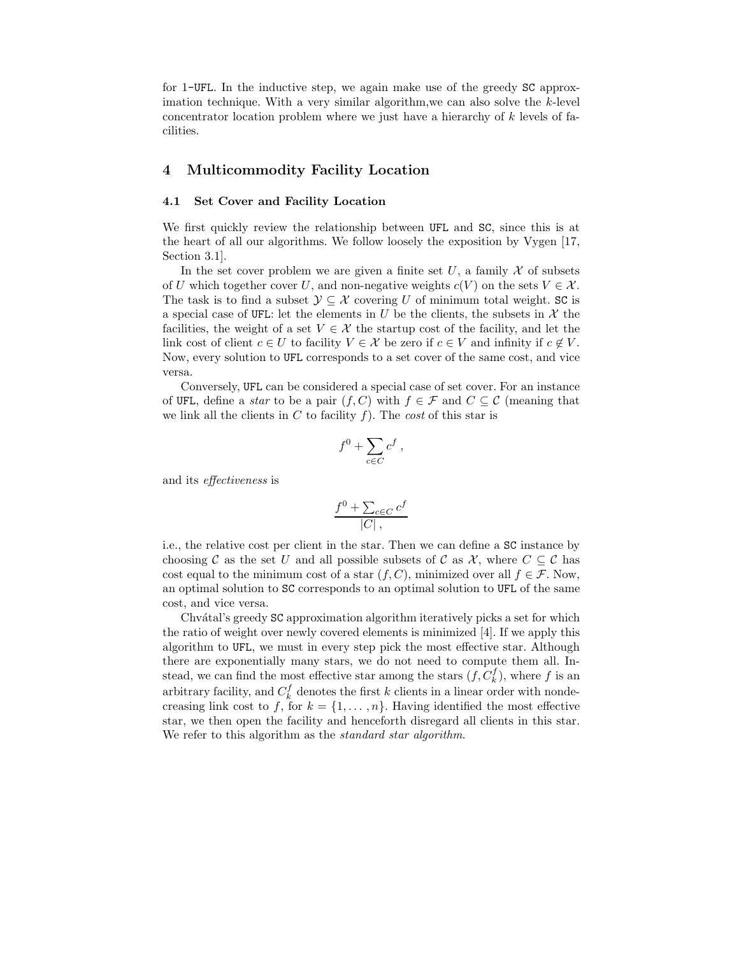for 1-UFL. In the inductive step, we again make use of the greedy SC approximation technique. With a very similar algorithm,we can also solve the k-level concentrator location problem where we just have a hierarchy of k levels of facilities.

# 4 Multicommodity Facility Location

### 4.1 Set Cover and Facility Location

We first quickly review the relationship between UFL and SC, since this is at the heart of all our algorithms. We follow loosely the exposition by Vygen [17, Section 3.1].

In the set cover problem we are given a finite set  $U$ , a family  $\mathcal X$  of subsets of U which together cover U, and non-negative weights  $c(V)$  on the sets  $V \in \mathcal{X}$ . The task is to find a subset  $\mathcal{Y} \subseteq \mathcal{X}$  covering U of minimum total weight. SC is a special case of UFL: let the elements in U be the clients, the subsets in X the facilities, the weight of a set  $V \in \mathcal{X}$  the startup cost of the facility, and let the link cost of client  $c \in U$  to facility  $V \in \mathcal{X}$  be zero if  $c \in V$  and infinity if  $c \notin V$ . Now, every solution to UFL corresponds to a set cover of the same cost, and vice versa.

Conversely, UFL can be considered a special case of set cover. For an instance of UFL, define a *star* to be a pair  $(f, C)$  with  $f \in \mathcal{F}$  and  $C \subseteq \mathcal{C}$  (meaning that we link all the clients in  $C$  to facility  $f$ ). The cost of this star is

$$
f^0 + \sum_{c \in C} c^f ,
$$

and its effectiveness is

$$
\frac{f^0 + \sum_{c \in C} c^f}{|C|},
$$

i.e., the relative cost per client in the star. Then we can define a SC instance by choosing C as the set U and all possible subsets of C as X, where  $C \subseteq \mathcal{C}$  has cost equal to the minimum cost of a star  $(f, C)$ , minimized over all  $f \in \mathcal{F}$ . Now, an optimal solution to SC corresponds to an optimal solution to UFL of the same cost, and vice versa.

Chvátal's greedy SC approximation algorithm iteratively picks a set for which the ratio of weight over newly covered elements is minimized [4]. If we apply this algorithm to UFL, we must in every step pick the most effective star. Although there are exponentially many stars, we do not need to compute them all. Instead, we can find the most effective star among the stars  $(f, C_k^f)$ , where f is an arbitrary facility, and  $C_k^f$  denotes the first k clients in a linear order with nondecreasing link cost to f, for  $k = \{1, \ldots, n\}$ . Having identified the most effective star, we then open the facility and henceforth disregard all clients in this star. We refer to this algorithm as the *standard star algorithm*.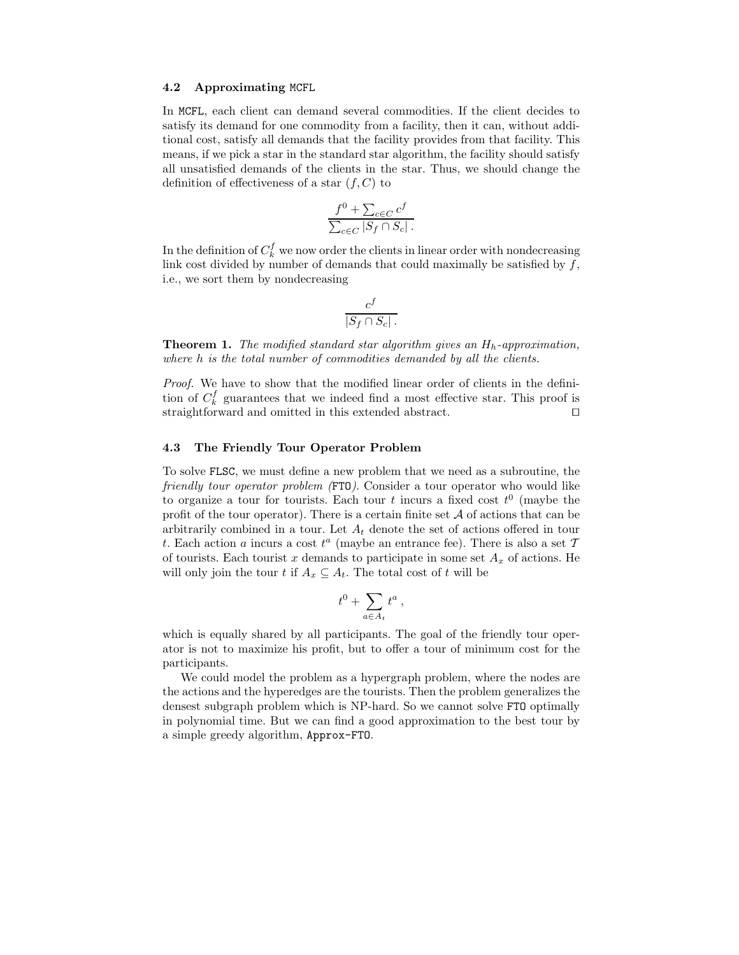#### 4.2 Approximating MCFL

In MCFL, each client can demand several commodities. If the client decides to satisfy its demand for one commodity from a facility, then it can, without additional cost, satisfy all demands that the facility provides from that facility. This means, if we pick a star in the standard star algorithm, the facility should satisfy all unsatisfied demands of the clients in the star. Thus, we should change the definition of effectiveness of a star  $(f, C)$  to

$$
\frac{f^0 + \sum_{c \in C} c^f}{\sum_{c \in C} |S_f \cap S_c|}.
$$

In the definition of  $C_k^f$  we now order the clients in linear order with nondecreasing link cost divided by number of demands that could maximally be satisfied by  $f$ , i.e., we sort them by nondecreasing

$$
\frac{c^f}{|S_f \cap S_c|}.
$$

**Theorem 1.** The modified standard star algorithm gives an  $H_h$ -approximation, where h is the total number of commodities demanded by all the clients.

Proof. We have to show that the modified linear order of clients in the definition of  $C_k^f$  guarantees that we indeed find a most effective star. This proof is straightforward and omitted in this extended abstract. □

#### 4.3 The Friendly Tour Operator Problem

To solve FLSC, we must define a new problem that we need as a subroutine, the friendly tour operator problem (FTO). Consider a tour operator who would like to organize a tour for tourists. Each tour t incurs a fixed cost  $t^0$  (maybe the profit of the tour operator). There is a certain finite set  $A$  of actions that can be arbitrarily combined in a tour. Let  $A_t$  denote the set of actions offered in tour t. Each action a incurs a cost  $t^a$  (maybe an entrance fee). There is also a set  $\mathcal I$ of tourists. Each tourist x demands to participate in some set  $A_x$  of actions. He will only join the tour t if  $A_x \subseteq A_t$ . The total cost of t will be

$$
t^0 + \sum_{a \in A_t} t^a \,,
$$

which is equally shared by all participants. The goal of the friendly tour operator is not to maximize his profit, but to offer a tour of minimum cost for the participants.

We could model the problem as a hypergraph problem, where the nodes are the actions and the hyperedges are the tourists. Then the problem generalizes the densest subgraph problem which is NP-hard. So we cannot solve FTO optimally in polynomial time. But we can find a good approximation to the best tour by a simple greedy algorithm, Approx-FTO.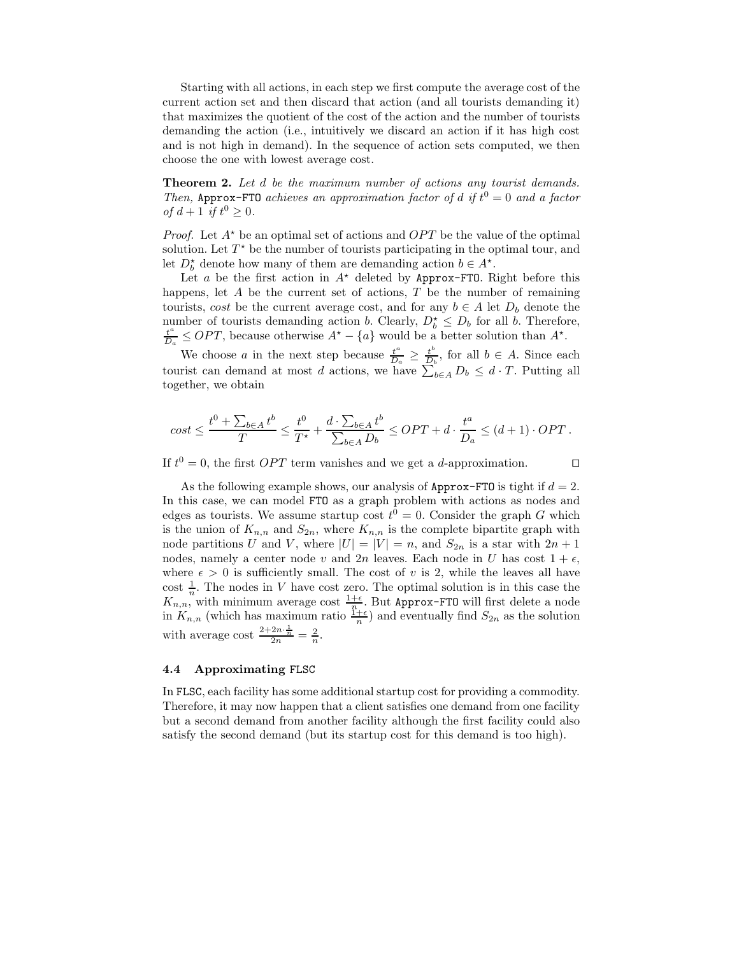Starting with all actions, in each step we first compute the average cost of the current action set and then discard that action (and all tourists demanding it) that maximizes the quotient of the cost of the action and the number of tourists demanding the action (i.e., intuitively we discard an action if it has high cost and is not high in demand). In the sequence of action sets computed, we then choose the one with lowest average cost.

**Theorem 2.** Let d be the maximum number of actions any tourist demands. Then, Approx-FTO achieves an approximation factor of d if  $t^0 = 0$  and a factor of  $d+1$  if  $t^0 \geq 0$ .

*Proof.* Let  $A^*$  be an optimal set of actions and  $OPT$  be the value of the optimal solution. Let  $T^*$  be the number of tourists participating in the optimal tour, and let  $D_b^*$  denote how many of them are demanding action  $b \in A^*$ .

Let a be the first action in  $A^*$  deleted by Approx-FTO. Right before this happens, let  $A$  be the current set of actions,  $T$  be the number of remaining tourists, cost be the current average cost, and for any  $b \in A$  let  $D_b$  denote the number of tourists demanding action b. Clearly,  $D_b^* \leq D_b$  for all b. Therefore, t a  $\frac{t^a}{D_a} \leq OPT$ , because otherwise  $A^* - \{a\}$  would be a better solution than  $A^*$ .

We choose a in the next step because  $\frac{t^a}{D}$  $\frac{t^a}{D_a} \geq \frac{t^b}{D_b}$  $\frac{t^{\nu}}{D_b}$ , for all  $b \in A$ . Since each tourist can demand at most d actions, we have  $\sum_{b \in A} D_b \leq d \cdot T$ . Putting all together, we obtain

$$
cost \leq \frac{t^0 + \sum_{b \in A} t^b}{T} \leq \frac{t^0}{T^\star} + \frac{d \cdot \sum_{b \in A} t^b}{\sum_{b \in A} D_b} \leq OPT + d \cdot \frac{t^a}{D_a} \leq (d+1) \cdot OPT \, .
$$

If  $t^0 = 0$ , the first *OPT* term vanishes and we get a *d*-approximation. □

As the following example shows, our analysis of Approx-FTO is tight if  $d = 2$ . In this case, we can model FTO as a graph problem with actions as nodes and edges as tourists. We assume startup cost  $t^0 = 0$ . Consider the graph G which is the union of  $K_{n,n}$  and  $S_{2n}$ , where  $K_{n,n}$  is the complete bipartite graph with node partitions U and V, where  $|U| = |V| = n$ , and  $S_{2n}$  is a star with  $2n + 1$ nodes, namely a center node v and  $2n$  leaves. Each node in U has cost  $1 + \epsilon$ , where  $\epsilon > 0$  is sufficiently small. The cost of v is 2, while the leaves all have cost  $\frac{1}{n}$ . The nodes in V have cost zero. The optimal solution is in this case the  $K_{n,n}$ , with minimum average cost  $\frac{1+\epsilon}{n}$ . But Approx-FTO will first delete a node in  $K_{n,n}$  (which has maximum ratio  $\frac{1+\epsilon}{n}$ ) and eventually find  $S_{2n}$  as the solution with average cost  $\frac{2+2n\cdot\frac{1}{n}}{2n}=\frac{2}{n}$ .

### 4.4 Approximating FLSC

In FLSC, each facility has some additional startup cost for providing a commodity. Therefore, it may now happen that a client satisfies one demand from one facility but a second demand from another facility although the first facility could also satisfy the second demand (but its startup cost for this demand is too high).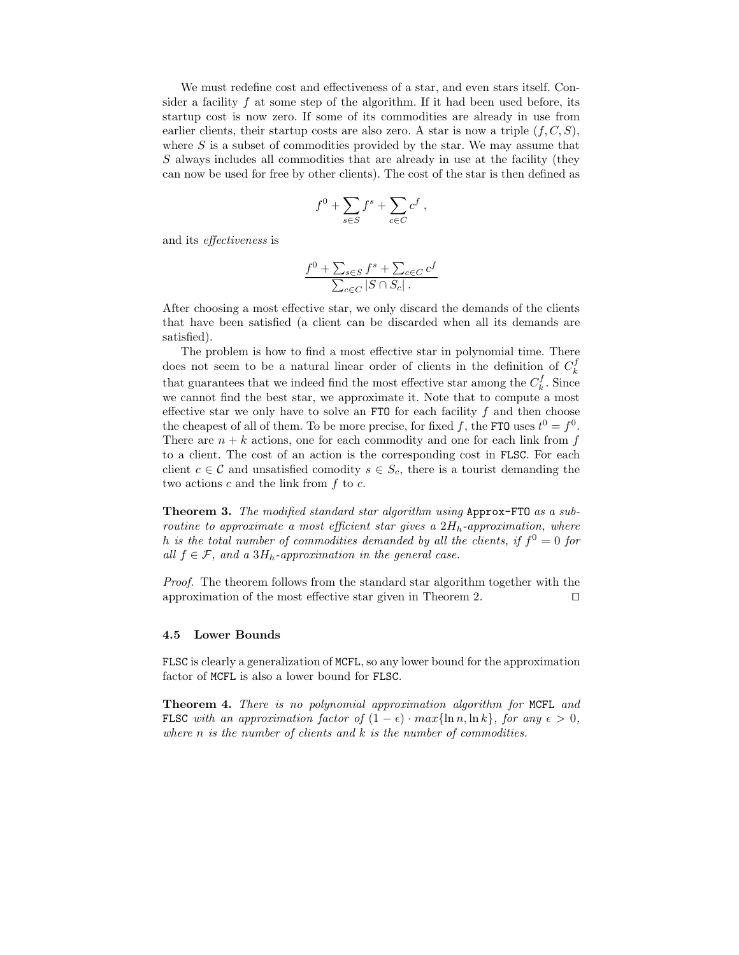We must redefine cost and effectiveness of a star, and even stars itself. Consider a facility  $f$  at some step of the algorithm. If it had been used before, its startup cost is now zero. If some of its commodities are already in use from earlier clients, their startup costs are also zero. A star is now a triple  $(f, C, S)$ , where  $S$  is a subset of commodities provided by the star. We may assume that S always includes all commodities that are already in use at the facility (they can now be used for free by other clients). The cost of the star is then defined as

$$
f^0 + \sum_{s \in S} f^s + \sum_{c \in C} c^f ,
$$

and its effectiveness is

$$
\frac{f^0 + \sum_{s \in S} f^s + \sum_{c \in C} c^f}{\sum_{c \in C} |S \cap S_c|}
$$

After choosing a most effective star, we only discard the demands of the clients that have been satisfied (a client can be discarded when all its demands are satisfied).

The problem is how to find a most effective star in polynomial time. There does not seem to be a natural linear order of clients in the definition of  $C_k^f$ that guarantees that we indeed find the most effective star among the  $C_k^f$ . Since we cannot find the best star, we approximate it. Note that to compute a most effective star we only have to solve an FTO for each facility  $f$  and then choose the cheapest of all of them. To be more precise, for fixed f, the FTO uses  $t^0 = f^0$ . There are  $n + k$  actions, one for each commodity and one for each link from f to a client. The cost of an action is the corresponding cost in FLSC. For each client  $c \in \mathcal{C}$  and unsatisfied comodity  $s \in S_c$ , there is a tourist demanding the two actions  $c$  and the link from  $f$  to  $c$ .

Theorem 3. The modified standard star algorithm using Approx-FTO as a subroutine to approximate a most efficient star gives a  $2H_h$ -approximation, where h is the total number of commodities demanded by all the clients, if  $f^0 = 0$  for all  $f \in \mathcal{F}$ , and a 3H<sub>h</sub>-approximation in the general case.

Proof. The theorem follows from the standard star algorithm together with the approximation of the most effective star given in Theorem 2. ⊓⊔

#### 4.5 Lower Bounds

FLSC is clearly a generalization of MCFL, so any lower bound for the approximation factor of MCFL is also a lower bound for FLSC.

Theorem 4. There is no polynomial approximation algorithm for MCFL and FLSC with an approximation factor of  $(1 - \epsilon) \cdot max\{\ln n, \ln k\}$ , for any  $\epsilon > 0$ , where  $n$  is the number of clients and  $k$  is the number of commodities.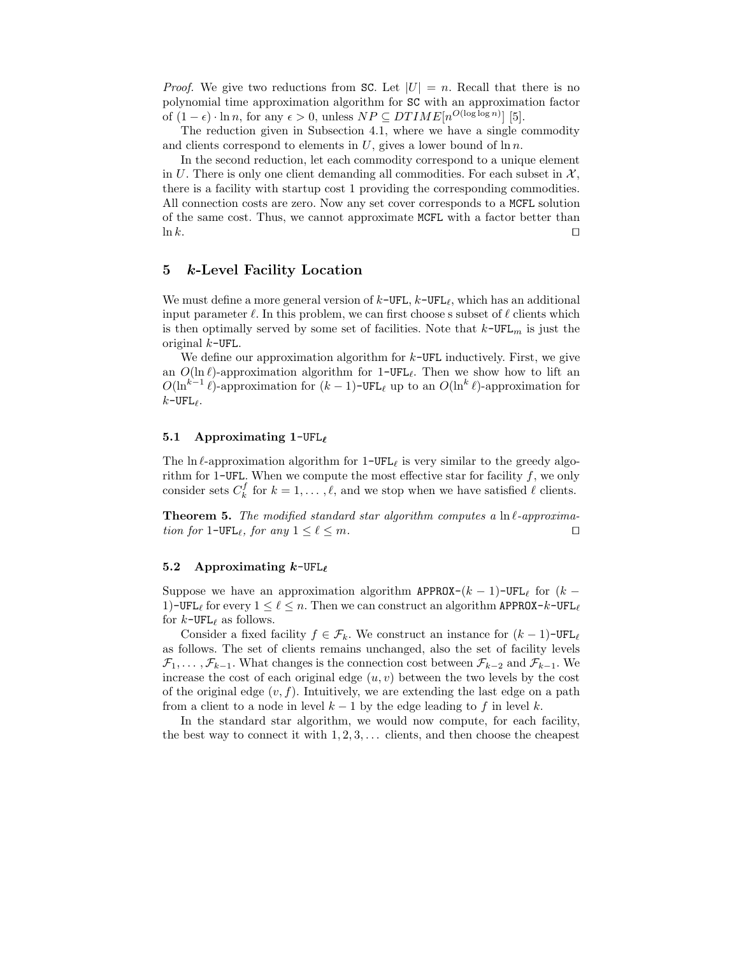*Proof.* We give two reductions from SC. Let  $|U| = n$ . Recall that there is no polynomial time approximation algorithm for SC with an approximation factor of  $(1 - \epsilon) \cdot \ln n$ , for any  $\epsilon > 0$ , unless  $NP \subseteq DTIME[n^{O(\log \log n)}]$  [5].

The reduction given in Subsection 4.1, where we have a single commodity and clients correspond to elements in  $U$ , gives a lower bound of  $\ln n$ .

In the second reduction, let each commodity correspond to a unique element in U. There is only one client demanding all commodities. For each subset in  $\mathcal{X}$ , there is a facility with startup cost 1 providing the corresponding commodities. All connection costs are zero. Now any set cover corresponds to a MCFL solution of the same cost. Thus, we cannot approximate MCFL with a factor better than ln k.  $□$ 

# 5 k-Level Facility Location

We must define a more general version of  $k$ -UFL,  $k$ -UFL, which has an additional input parameter  $\ell$ . In this problem, we can first choose s subset of  $\ell$  clients which is then optimally served by some set of facilities. Note that  $k$ -UFL<sub>m</sub> is just the original  $k$ -UFL.

We define our approximation algorithm for  $k$ -UFL inductively. First, we give an  $O(\ln \ell)$ -approximation algorithm for 1-UFL<sub> $\ell$ </sub>. Then we show how to lift an  $O(\ln^{k-1} \ell)$ -approximation for  $(k-1)$ -UFL<sub> $\ell$ </sub> up to an  $O(\ln^k \ell)$ -approximation for  $k$ -UFL $_{\ell}$ .

# 5.1 Approximating 1-UFL<sub> $\ell$ </sub>

The ln  $\ell$ -approximation algorithm for 1-UFL<sub> $\ell$ </sub> is very similar to the greedy algorithm for 1-UFL. When we compute the most effective star for facility  $f$ , we only consider sets  $C_k^f$  for  $k = 1, ..., \ell$ , and we stop when we have satisfied  $\ell$  clients.

**Theorem 5.** The modified standard star algorithm computes a  $\ln \ell$ -approximation for 1-UFL<sub>ℓ</sub>, for any  $1 \leq \ell \leq m$ . □

### 5.2 Approximating  $k$ -UFL<sub> $\ell$ </sub>

Suppose we have an approximation algorithm APPROX- $(k-1)$ -UFL<sub>ℓ</sub> for  $(k-$ 1)-UFL<sub>ℓ</sub> for every  $1 \leq \ell \leq n$ . Then we can construct an algorithm APPROX- $k$ -UFL<sub>ℓ</sub> for  $k$ -UFL<sub> $\ell$ </sub> as follows.

Consider a fixed facility  $f \in \mathcal{F}_k$ . We construct an instance for  $(k-1)$ -UFL<sub>ℓ</sub> as follows. The set of clients remains unchanged, also the set of facility levels  $\mathcal{F}_1, \ldots, \mathcal{F}_{k-1}$ . What changes is the connection cost between  $\mathcal{F}_{k-2}$  and  $\mathcal{F}_{k-1}$ . We increase the cost of each original edge  $(u, v)$  between the two levels by the cost of the original edge  $(v, f)$ . Intuitively, we are extending the last edge on a path from a client to a node in level  $k-1$  by the edge leading to f in level k.

In the standard star algorithm, we would now compute, for each facility, the best way to connect it with  $1, 2, 3, \ldots$  clients, and then choose the cheapest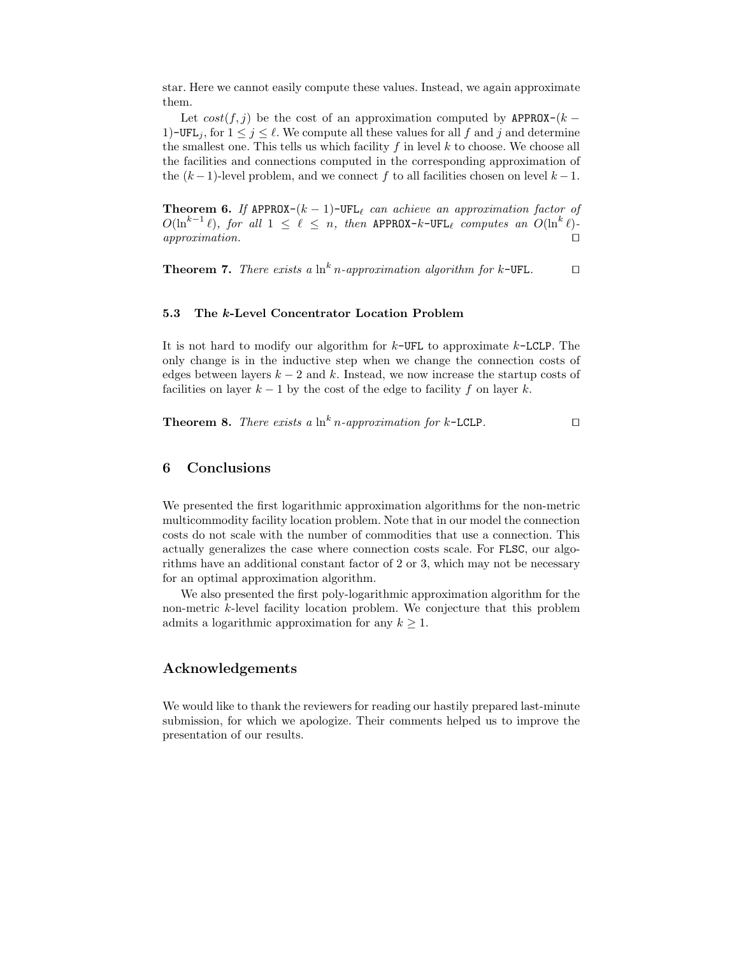star. Here we cannot easily compute these values. Instead, we again approximate them.

Let  $cost(f, j)$  be the cost of an approximation computed by APPROX- $(k -$ 1)-UFL<sub>j</sub>, for  $1 \leq j \leq \ell$ . We compute all these values for all f and j and determine the smallest one. This tells us which facility  $f$  in level  $k$  to choose. We choose all the facilities and connections computed in the corresponding approximation of the  $(k-1)$ -level problem, and we connect f to all facilities chosen on level  $k-1$ .

**Theorem 6.** If APPROX- $(k-1)$ -UFL<sub> $\ell$ </sub> can achieve an approximation factor of  $O(\ln^{k-1} \ell)$ , for all  $1 \leq \ell \leq n$ , then APPROX-k-UFL<sub>l</sub> computes an  $O(\ln^k \ell)$ approximation.  $□$ 

**Theorem 7.** There exists a  $\ln^k n$ -approximation algorithm for k-UFL. □

### 5.3 The k-Level Concentrator Location Problem

It is not hard to modify our algorithm for  $k$ -UFL to approximate  $k$ -LCLP. The only change is in the inductive step when we change the connection costs of edges between layers  $k - 2$  and k. Instead, we now increase the startup costs of facilities on layer  $k - 1$  by the cost of the edge to facility f on layer k.

**Theorem 8.** There exists a 
$$
\ln^k n
$$
-approximation for  $k$ -LCLP.  $\Box$ 

# 6 Conclusions

We presented the first logarithmic approximation algorithms for the non-metric multicommodity facility location problem. Note that in our model the connection costs do not scale with the number of commodities that use a connection. This actually generalizes the case where connection costs scale. For FLSC, our algorithms have an additional constant factor of 2 or 3, which may not be necessary for an optimal approximation algorithm.

We also presented the first poly-logarithmic approximation algorithm for the non-metric k-level facility location problem. We conjecture that this problem admits a logarithmic approximation for any  $k \geq 1$ .

# Acknowledgements

We would like to thank the reviewers for reading our hastily prepared last-minute submission, for which we apologize. Their comments helped us to improve the presentation of our results.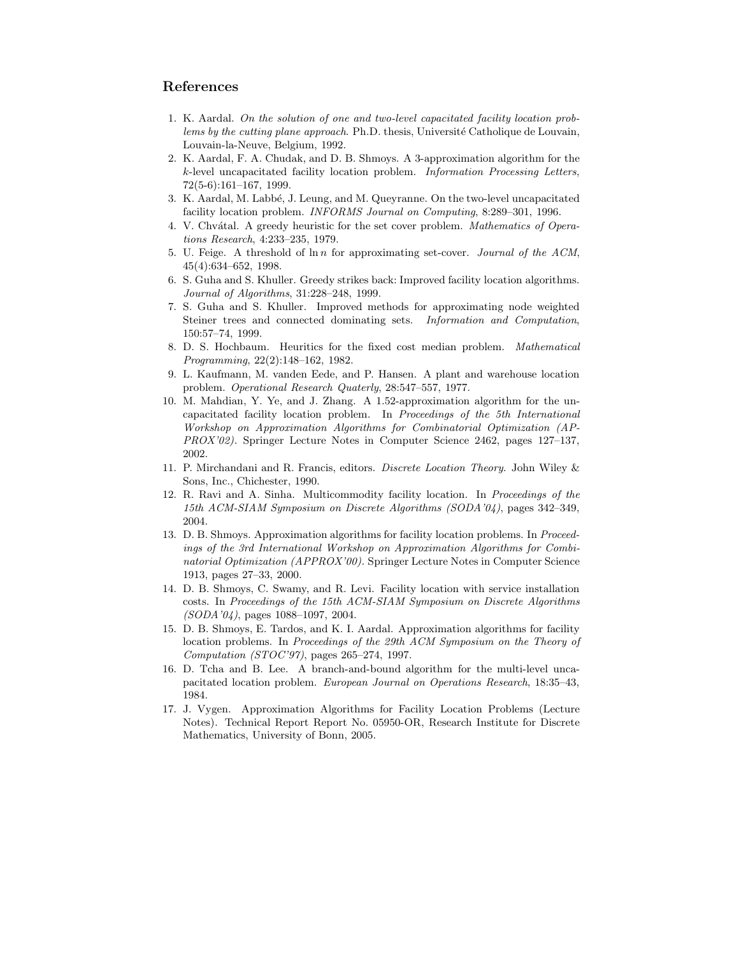# References

- 1. K. Aardal. On the solution of one and two-level capacitated facility location problems by the cutting plane approach. Ph.D. thesis, Université Catholique de Louvain, Louvain-la-Neuve, Belgium, 1992.
- 2. K. Aardal, F. A. Chudak, and D. B. Shmoys. A 3-approximation algorithm for the k-level uncapacitated facility location problem. Information Processing Letters, 72(5-6):161–167, 1999.
- 3. K. Aardal, M. Labb´e, J. Leung, and M. Queyranne. On the two-level uncapacitated facility location problem. INFORMS Journal on Computing, 8:289–301, 1996.
- 4. V. Chvátal. A greedy heuristic for the set cover problem. Mathematics of Operations Research, 4:233–235, 1979.
- 5. U. Feige. A threshold of  $\ln n$  for approximating set-cover. *Journal of the ACM*, 45(4):634–652, 1998.
- 6. S. Guha and S. Khuller. Greedy strikes back: Improved facility location algorithms. Journal of Algorithms, 31:228–248, 1999.
- 7. S. Guha and S. Khuller. Improved methods for approximating node weighted Steiner trees and connected dominating sets. Information and Computation, 150:57–74, 1999.
- 8. D. S. Hochbaum. Heuritics for the fixed cost median problem. Mathematical Programming, 22(2):148–162, 1982.
- 9. L. Kaufmann, M. vanden Eede, and P. Hansen. A plant and warehouse location problem. Operational Research Quaterly, 28:547–557, 1977.
- 10. M. Mahdian, Y. Ye, and J. Zhang. A 1.52-approximation algorithm for the uncapacitated facility location problem. In Proceedings of the 5th International Workshop on Approximation Algorithms for Combinatorial Optimization (AP-PROX'02). Springer Lecture Notes in Computer Science 2462, pages 127–137, 2002.
- 11. P. Mirchandani and R. Francis, editors. Discrete Location Theory. John Wiley & Sons, Inc., Chichester, 1990.
- 12. R. Ravi and A. Sinha. Multicommodity facility location. In Proceedings of the 15th ACM-SIAM Symposium on Discrete Algorithms (SODA'04), pages 342–349, 2004.
- 13. D. B. Shmoys. Approximation algorithms for facility location problems. In Proceedings of the 3rd International Workshop on Approximation Algorithms for Combinatorial Optimization (APPROX'00). Springer Lecture Notes in Computer Science 1913, pages 27–33, 2000.
- 14. D. B. Shmoys, C. Swamy, and R. Levi. Facility location with service installation costs. In Proceedings of the 15th ACM-SIAM Symposium on Discrete Algorithms (SODA'04), pages 1088–1097, 2004.
- 15. D. B. Shmoys, E. Tardos, and K. I. Aardal. Approximation algorithms for facility location problems. In Proceedings of the 29th ACM Symposium on the Theory of Computation (STOC'97), pages 265–274, 1997.
- 16. D. Tcha and B. Lee. A branch-and-bound algorithm for the multi-level uncapacitated location problem. European Journal on Operations Research, 18:35–43, 1984.
- 17. J. Vygen. Approximation Algorithms for Facility Location Problems (Lecture Notes). Technical Report Report No. 05950-OR, Research Institute for Discrete Mathematics, University of Bonn, 2005.